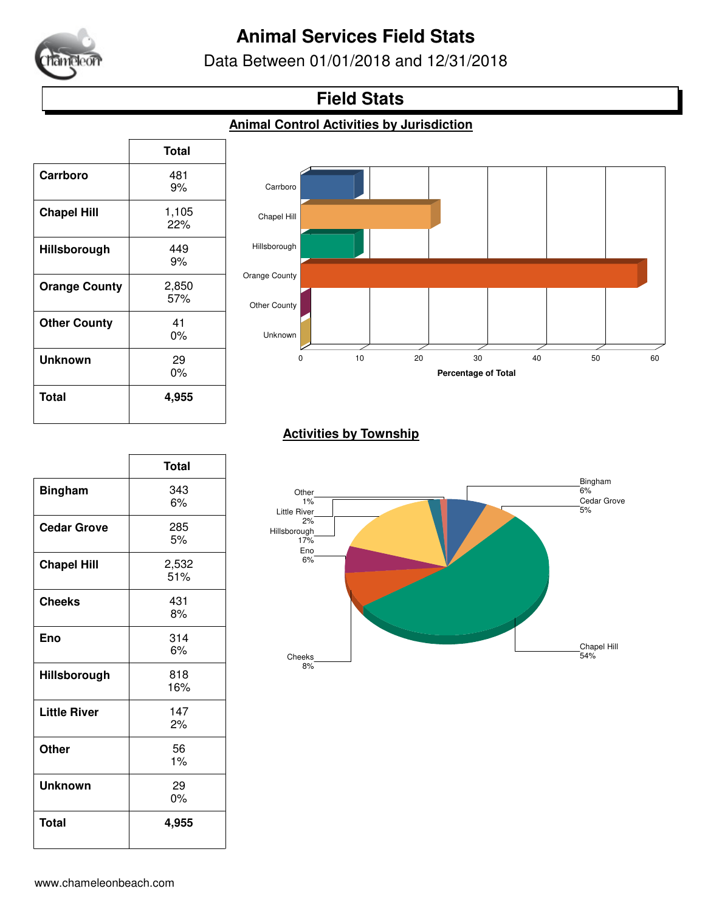

# **Animal Services Field Stats**

Data Between 01/01/2018 and 12/31/2018

## **Field Stats**

#### **Animal Control Activities by Jurisdiction**

|                      | <b>Total</b> |
|----------------------|--------------|
| Carrboro             | 481          |
|                      | 9%           |
| <b>Chapel Hill</b>   | 1,105        |
|                      | 22%          |
| Hillsborough         | 449          |
|                      | 9%           |
| <b>Orange County</b> | 2,850        |
|                      | 57%          |
| <b>Other County</b>  | 41           |
|                      | 0%           |
| <b>Unknown</b>       | 29           |
|                      | 0%           |
| Total                | 4,955        |
|                      |              |

 $\overline{1}$ 



### **Activities by Township**

|                     | <b>Total</b> |
|---------------------|--------------|
| <b>Bingham</b>      | 343<br>6%    |
| <b>Cedar Grove</b>  | 285<br>5%    |
| <b>Chapel Hill</b>  | 2,532<br>51% |
| <b>Cheeks</b>       | 431<br>8%    |
| Eno                 | 314<br>6%    |
| Hillsborough        | 818<br>16%   |
| <b>Little River</b> | 147<br>2%    |
| <b>Other</b>        | 56<br>1%     |
| <b>Unknown</b>      | 29<br>0%     |
| <b>Total</b>        | 4,955        |

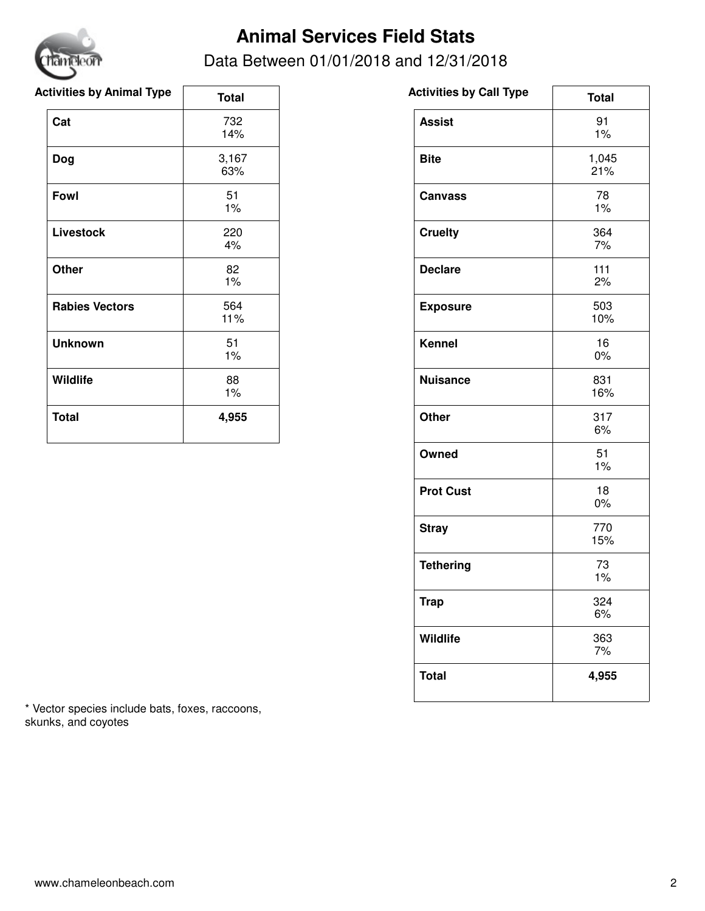

# **Animal Services Field Stats**

### Data Between 01/01/2018 and 12/31/2018

| <b>Activities by Animal Type</b> | <b>Total</b> | <b>Activities by Call Type</b> |
|----------------------------------|--------------|--------------------------------|
| Cat                              | 732<br>14%   | <b>Assist</b>                  |
| Dog                              | 3,167<br>63% | <b>Bite</b>                    |
| Fowl                             | 51<br>1%     | <b>Canvass</b>                 |
| <b>Livestock</b>                 | 220<br>4%    | <b>Cruelty</b>                 |
| <b>Other</b>                     | 82<br>$1\%$  | <b>Declare</b>                 |
| <b>Rabies Vectors</b>            | 564<br>11%   | <b>Exposure</b>                |
| <b>Unknown</b>                   | 51<br>1%     | <b>Kennel</b>                  |
| Wildlife                         | 88<br>$1\%$  | <b>Nuisance</b>                |
| <b>Total</b>                     | 4,955        | <b>Other</b>                   |

| * Vector species include bats, foxes, raccoons, |  |
|-------------------------------------------------|--|
| skunks, and coyotes                             |  |

| <b>Activities by Call Type</b> | <b>Total</b> |
|--------------------------------|--------------|
| <b>Assist</b>                  | 91<br>1%     |
| <b>Bite</b>                    | 1,045<br>21% |
| <b>Canvass</b>                 | 78<br>1%     |
| <b>Cruelty</b>                 | 364<br>7%    |
| <b>Declare</b>                 | 111<br>2%    |
| <b>Exposure</b>                | 503<br>10%   |
| <b>Kennel</b>                  | 16<br>0%     |
| <b>Nuisance</b>                | 831<br>16%   |
| <b>Other</b>                   | 317<br>6%    |
| Owned                          | 51<br>1%     |
| <b>Prot Cust</b>               | 18<br>0%     |
| <b>Stray</b>                   | 770<br>15%   |
| <b>Tethering</b>               | 73<br>1%     |
| <b>Trap</b>                    | 324<br>6%    |
| Wildlife                       | 363<br>7%    |
| <b>Total</b>                   | 4,955        |